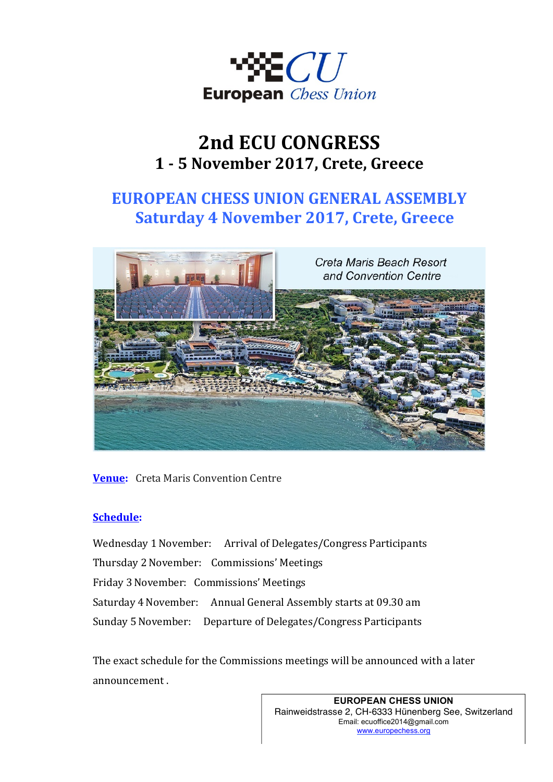

# **2nd ECU CONGRESS 1 - 5 Νovember 2017, Crete, Greece**

# **EUROPEAN CHESS UNION GENERAL ASSEMBLY Saturday 4 November 2017, Crete, Greece**



**Venue:** Creta Maris Convention Centre

#### **Schedule:**

Wednesday 1 November: Arrival of Delegates/Congress Participants Thursday 2 November: Commissions' Meetings Friday 3November: Commissions' Meetings Saturday 4 November: Annual General Assembly starts at 09.30 am Sunday 5 November: Departure of Delegates/Congress Participants

The exact schedule for the Commissions meetings will be announced with a later announcement.

> **EUROPEAN CHESS UNION** Rainweidstrasse 2, CH-6333 Hünenberg See, Switzerland Email: ecuoffice2014@gmail.com www.europechess.org